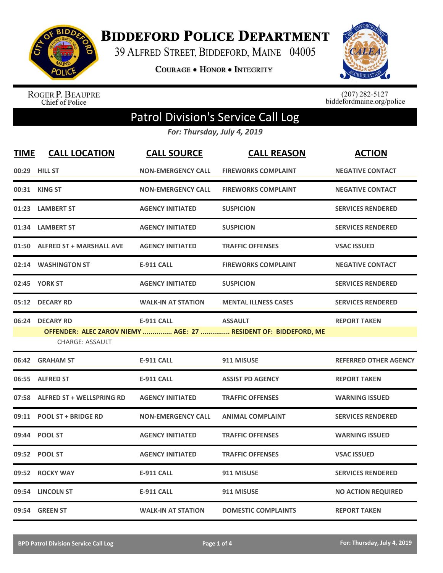

**BIDDEFORD POLICE DEPARTMENT** 

39 ALFRED STREET, BIDDEFORD, MAINE 04005

**COURAGE . HONOR . INTEGRITY** 



ROGER P. BEAUPRE<br>Chief of Police

 $(207)$  282-5127<br>biddefordmaine.org/police

## Patrol Division's Service Call Log

*For: Thursday, July 4, 2019*

| <b>TIME</b> | <b>CALL LOCATION</b>                      | <b>CALL SOURCE</b>        | <b>CALL REASON</b>                                                                | <b>ACTION</b>                |
|-------------|-------------------------------------------|---------------------------|-----------------------------------------------------------------------------------|------------------------------|
|             | 00:29 HILL ST                             | <b>NON-EMERGENCY CALL</b> | <b>FIREWORKS COMPLAINT</b>                                                        | <b>NEGATIVE CONTACT</b>      |
|             | 00:31 KING ST                             | <b>NON-EMERGENCY CALL</b> | <b>FIREWORKS COMPLAINT</b>                                                        | <b>NEGATIVE CONTACT</b>      |
|             | 01:23 LAMBERT ST                          | <b>AGENCY INITIATED</b>   | <b>SUSPICION</b>                                                                  | <b>SERVICES RENDERED</b>     |
|             | 01:34 LAMBERT ST                          | <b>AGENCY INITIATED</b>   | <b>SUSPICION</b>                                                                  | <b>SERVICES RENDERED</b>     |
|             | 01:50 ALFRED ST + MARSHALL AVE            | <b>AGENCY INITIATED</b>   | <b>TRAFFIC OFFENSES</b>                                                           | <b>VSAC ISSUED</b>           |
|             | 02:14 WASHINGTON ST                       | <b>E-911 CALL</b>         | <b>FIREWORKS COMPLAINT</b>                                                        | <b>NEGATIVE CONTACT</b>      |
|             | 02:45 YORK ST                             | <b>AGENCY INITIATED</b>   | <b>SUSPICION</b>                                                                  | <b>SERVICES RENDERED</b>     |
|             | 05:12 DECARY RD                           | <b>WALK-IN AT STATION</b> | <b>MENTAL ILLNESS CASES</b>                                                       | <b>SERVICES RENDERED</b>     |
|             | 06:24 DECARY RD<br><b>CHARGE: ASSAULT</b> | <b>E-911 CALL</b>         | <b>ASSAULT</b><br>OFFENDER: ALEC ZAROV NIEMY  AGE: 27  RESIDENT OF: BIDDEFORD, ME | <b>REPORT TAKEN</b>          |
|             | 06:42 GRAHAM ST                           | <b>E-911 CALL</b>         | 911 MISUSE                                                                        | <b>REFERRED OTHER AGENCY</b> |
|             | 06:55 ALFRED ST                           | <b>E-911 CALL</b>         | <b>ASSIST PD AGENCY</b>                                                           | <b>REPORT TAKEN</b>          |
|             | 07:58 ALFRED ST + WELLSPRING RD           | <b>AGENCY INITIATED</b>   | <b>TRAFFIC OFFENSES</b>                                                           | <b>WARNING ISSUED</b>        |
| 09:11       | <b>POOL ST + BRIDGE RD</b>                | <b>NON-EMERGENCY CALL</b> | <b>ANIMAL COMPLAINT</b>                                                           | <b>SERVICES RENDERED</b>     |
| 09:44       | <b>POOL ST</b>                            | <b>AGENCY INITIATED</b>   | <b>TRAFFIC OFFENSES</b>                                                           | <b>WARNING ISSUED</b>        |
|             | 09:52 POOL ST                             | <b>AGENCY INITIATED</b>   | <b>TRAFFIC OFFENSES</b>                                                           | <b>VSAC ISSUED</b>           |
| 09:52       | <b>ROCKY WAY</b>                          | <b>E-911 CALL</b>         | 911 MISUSE                                                                        | <b>SERVICES RENDERED</b>     |
|             | 09:54 LINCOLN ST                          | <b>E-911 CALL</b>         | 911 MISUSE                                                                        | <b>NO ACTION REQUIRED</b>    |
|             | 09:54 GREEN ST                            | <b>WALK-IN AT STATION</b> | <b>DOMESTIC COMPLAINTS</b>                                                        | <b>REPORT TAKEN</b>          |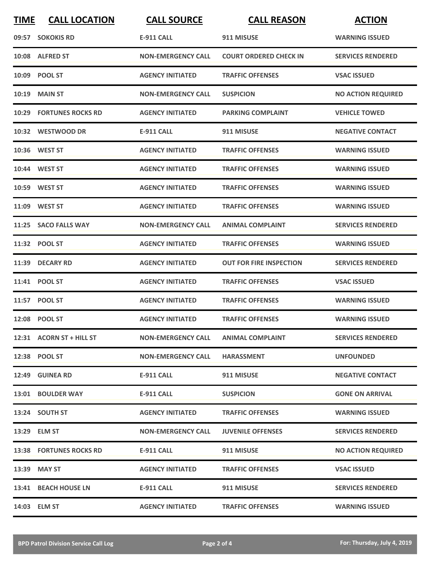| <b>TIME</b> | <b>CALL LOCATION</b>           | <b>CALL SOURCE</b>        | <b>CALL REASON</b>             | <b>ACTION</b>             |
|-------------|--------------------------------|---------------------------|--------------------------------|---------------------------|
|             | 09:57 SOKOKIS RD               | <b>E-911 CALL</b>         | 911 MISUSE                     | <b>WARNING ISSUED</b>     |
|             | 10:08 ALFRED ST                | <b>NON-EMERGENCY CALL</b> | <b>COURT ORDERED CHECK IN</b>  | <b>SERVICES RENDERED</b>  |
|             | 10:09 POOL ST                  | <b>AGENCY INITIATED</b>   | <b>TRAFFIC OFFENSES</b>        | <b>VSAC ISSUED</b>        |
| 10:19       | <b>MAIN ST</b>                 | <b>NON-EMERGENCY CALL</b> | <b>SUSPICION</b>               | <b>NO ACTION REQUIRED</b> |
|             | <b>10:29 FORTUNES ROCKS RD</b> | <b>AGENCY INITIATED</b>   | <b>PARKING COMPLAINT</b>       | <b>VEHICLE TOWED</b>      |
|             | 10:32 WESTWOOD DR              | <b>E-911 CALL</b>         | 911 MISUSE                     | <b>NEGATIVE CONTACT</b>   |
|             | 10:36 WEST ST                  | <b>AGENCY INITIATED</b>   | <b>TRAFFIC OFFENSES</b>        | <b>WARNING ISSUED</b>     |
|             | 10:44 WEST ST                  | <b>AGENCY INITIATED</b>   | <b>TRAFFIC OFFENSES</b>        | <b>WARNING ISSUED</b>     |
|             | 10:59 WEST ST                  | <b>AGENCY INITIATED</b>   | <b>TRAFFIC OFFENSES</b>        | <b>WARNING ISSUED</b>     |
|             | 11:09 WEST ST                  | <b>AGENCY INITIATED</b>   | <b>TRAFFIC OFFENSES</b>        | <b>WARNING ISSUED</b>     |
|             | 11:25 SACO FALLS WAY           | <b>NON-EMERGENCY CALL</b> | <b>ANIMAL COMPLAINT</b>        | <b>SERVICES RENDERED</b>  |
|             | 11:32 POOL ST                  | <b>AGENCY INITIATED</b>   | <b>TRAFFIC OFFENSES</b>        | <b>WARNING ISSUED</b>     |
|             | 11:39 DECARY RD                | <b>AGENCY INITIATED</b>   | <b>OUT FOR FIRE INSPECTION</b> | <b>SERVICES RENDERED</b>  |
|             | 11:41 POOL ST                  | <b>AGENCY INITIATED</b>   | <b>TRAFFIC OFFENSES</b>        | <b>VSAC ISSUED</b>        |
|             | 11:57 POOL ST                  | <b>AGENCY INITIATED</b>   | <b>TRAFFIC OFFENSES</b>        | <b>WARNING ISSUED</b>     |
|             | 12:08 POOL ST                  | <b>AGENCY INITIATED</b>   | <b>TRAFFIC OFFENSES</b>        | <b>WARNING ISSUED</b>     |
|             | 12:31 ACORN ST + HILL ST       | <b>NON-EMERGENCY CALL</b> | <b>ANIMAL COMPLAINT</b>        | <b>SERVICES RENDERED</b>  |
|             | 12:38 POOL ST                  | <b>NON-EMERGENCY CALL</b> | <b>HARASSMENT</b>              | <b>UNFOUNDED</b>          |
|             | 12:49 GUINEA RD                | E-911 CALL                | 911 MISUSE                     | <b>NEGATIVE CONTACT</b>   |
|             | 13:01 BOULDER WAY              | E-911 CALL                | <b>SUSPICION</b>               | <b>GONE ON ARRIVAL</b>    |
|             | 13:24 SOUTH ST                 | <b>AGENCY INITIATED</b>   | <b>TRAFFIC OFFENSES</b>        | <b>WARNING ISSUED</b>     |
|             | 13:29 ELM ST                   | <b>NON-EMERGENCY CALL</b> | <b>JUVENILE OFFENSES</b>       | <b>SERVICES RENDERED</b>  |
|             | 13:38 FORTUNES ROCKS RD        | E-911 CALL                | 911 MISUSE                     | <b>NO ACTION REQUIRED</b> |
|             | 13:39 MAY ST                   | <b>AGENCY INITIATED</b>   | <b>TRAFFIC OFFENSES</b>        | <b>VSAC ISSUED</b>        |
|             | 13:41 BEACH HOUSE LN           | E-911 CALL                | 911 MISUSE                     | <b>SERVICES RENDERED</b>  |
|             | 14:03 ELM ST                   | <b>AGENCY INITIATED</b>   | <b>TRAFFIC OFFENSES</b>        | <b>WARNING ISSUED</b>     |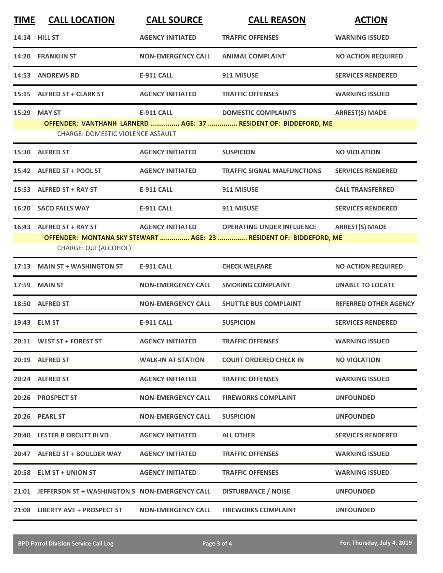| <b>TIME</b> | <b>CALL LOCATION</b>                                 | <b>CALL SOURCE</b>        | <b>CALL REASON</b>                                                                                     | <b>ACTION</b>                |
|-------------|------------------------------------------------------|---------------------------|--------------------------------------------------------------------------------------------------------|------------------------------|
|             | 14:14 HILL ST                                        | <b>AGENCY INITIATED</b>   | <b>TRAFFIC OFFENSES</b>                                                                                | <b>WARNING ISSUED</b>        |
|             | 14:20 FRANKLIN ST                                    | <b>NON-EMERGENCY CALL</b> | <b>ANIMAL COMPLAINT</b>                                                                                | <b>NO ACTION REQUIRED</b>    |
|             | 14:53 ANDREWS RD                                     | <b>E-911 CALL</b>         | 911 MISUSE                                                                                             | <b>SERVICES RENDERED</b>     |
|             | 15:15 ALFRED ST + CLARK ST                           | <b>AGENCY INITIATED</b>   | <b>TRAFFIC OFFENSES</b>                                                                                | <b>WARNING ISSUED</b>        |
|             | 15:29 MAY ST<br>CHARGE: DOMESTIC VIOLENCE ASSAULT    | <b>E-911 CALL</b>         | <b>DOMESTIC COMPLAINTS</b><br>OFFENDER: VANTHANH LARNERD  AGE: 37  RESIDENT OF: BIDDEFORD, ME          | <b>ARREST(S) MADE</b>        |
|             | 15:30 ALFRED ST                                      | <b>AGENCY INITIATED</b>   | <b>SUSPICION</b>                                                                                       | <b>NO VIOLATION</b>          |
|             | 15:42 ALFRED ST + POOL ST                            | <b>AGENCY INITIATED</b>   | <b>TRAFFIC SIGNAL MALFUNCTIONS</b>                                                                     | <b>SERVICES RENDERED</b>     |
|             | 15:53 ALFRED ST + RAY ST                             | <b>E-911 CALL</b>         | 911 MISUSE                                                                                             | <b>CALL TRANSFERRED</b>      |
|             | 16:20 SACO FALLS WAY                                 | <b>E-911 CALL</b>         | 911 MISUSE                                                                                             | <b>SERVICES RENDERED</b>     |
|             | 16:43 ALFRED ST + RAY ST<br>CHARGE: OUI (ALCOHOL)    | <b>AGENCY INITIATED</b>   | <b>OPERATING UNDER INFLUENCE</b><br>OFFENDER: MONTANA SKY STEWART  AGE: 23  RESIDENT OF: BIDDEFORD, ME | <b>ARREST(S) MADE</b>        |
| 17:13       | <b>MAIN ST + WASHINGTON ST</b>                       | <b>E-911 CALL</b>         | <b>CHECK WELFARE</b>                                                                                   | <b>NO ACTION REQUIRED</b>    |
| 17:59       | <b>MAIN ST</b>                                       | <b>NON-EMERGENCY CALL</b> | <b>SMOKING COMPLAINT</b>                                                                               | <b>UNABLE TO LOCATE</b>      |
|             | 18:50 ALFRED ST                                      | <b>NON-EMERGENCY CALL</b> | <b>SHUTTLE BUS COMPLAINT</b>                                                                           | <b>REFERRED OTHER AGENCY</b> |
|             | 19:43 ELM ST                                         | <b>E-911 CALL</b>         | <b>SUSPICION</b>                                                                                       | <b>SERVICES RENDERED</b>     |
|             | 20:11 WEST ST + FOREST ST                            | <b>AGENCY INITIATED</b>   | <b>TRAFFIC OFFENSES</b>                                                                                | <b>WARNING ISSUED</b>        |
|             | 20:19 ALFRED ST                                      | <b>WALK-IN AT STATION</b> | <b>COURT ORDERED CHECK IN</b>                                                                          | <b>NO VIOLATION</b>          |
|             | 20:24 ALFRED ST                                      | <b>AGENCY INITIATED</b>   | <b>TRAFFIC OFFENSES</b>                                                                                | <b>WARNING ISSUED</b>        |
|             | 20:26 PROSPECT ST                                    | <b>NON-EMERGENCY CALL</b> | <b>FIREWORKS COMPLAINT</b>                                                                             | <b>UNFOUNDED</b>             |
|             | 20:26 PEARL ST                                       | <b>NON-EMERGENCY CALL</b> | <b>SUSPICION</b>                                                                                       | <b>UNFOUNDED</b>             |
|             | 20:40 LESTER B ORCUTT BLVD                           | <b>AGENCY INITIATED</b>   | <b>ALL OTHER</b>                                                                                       | <b>SERVICES RENDERED</b>     |
|             | 20:47 ALFRED ST + BOULDER WAY                        | <b>AGENCY INITIATED</b>   | <b>TRAFFIC OFFENSES</b>                                                                                | <b>WARNING ISSUED</b>        |
|             | 20:58 ELM ST + UNION ST                              | <b>AGENCY INITIATED</b>   | <b>TRAFFIC OFFENSES</b>                                                                                | <b>WARNING ISSUED</b>        |
|             | 21:01 JEFFERSON ST + WASHINGTON S NON-EMERGENCY CALL |                           | <b>DISTURBANCE / NOISE</b>                                                                             | <b>UNFOUNDED</b>             |
|             | 21:08 LIBERTY AVE + PROSPECT ST                      | <b>NON-EMERGENCY CALL</b> | <b>FIREWORKS COMPLAINT</b>                                                                             | <b>UNFOUNDED</b>             |